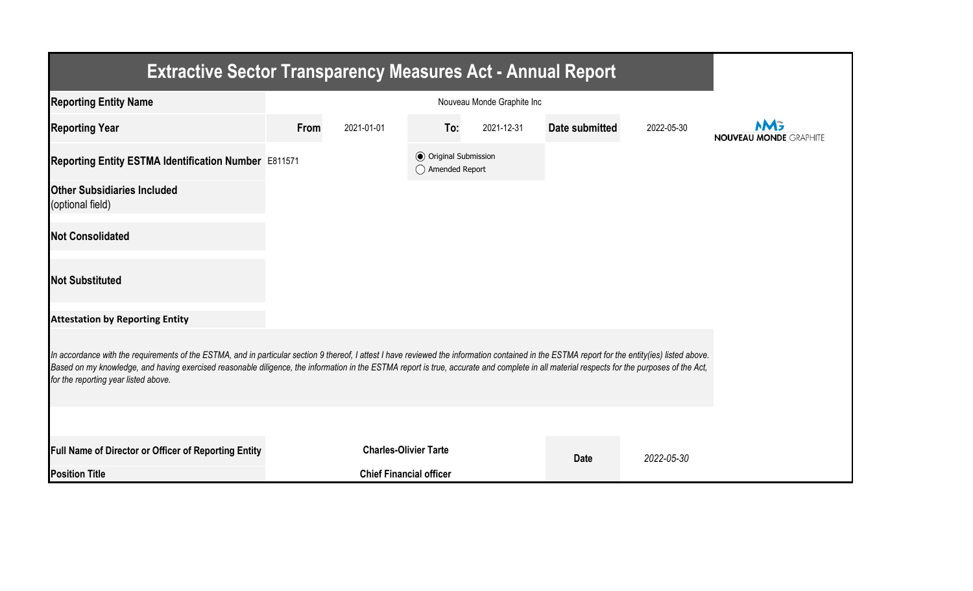| <b>Extractive Sector Transparency Measures Act - Annual Report</b>                                                                                                                                                                                                                                                                                                                                                                    |      |                                |                                                  |            |                |            |                               |  |  |  |
|---------------------------------------------------------------------------------------------------------------------------------------------------------------------------------------------------------------------------------------------------------------------------------------------------------------------------------------------------------------------------------------------------------------------------------------|------|--------------------------------|--------------------------------------------------|------------|----------------|------------|-------------------------------|--|--|--|
| <b>Reporting Entity Name</b>                                                                                                                                                                                                                                                                                                                                                                                                          |      |                                |                                                  |            |                |            |                               |  |  |  |
| <b>Reporting Year</b>                                                                                                                                                                                                                                                                                                                                                                                                                 | From | 2021-01-01                     | To:                                              | 2021-12-31 | Date submitted | 2022-05-30 | <b>NOUVEAU MONDE GRAPHITE</b> |  |  |  |
| Reporting Entity ESTMA Identification Number E811571                                                                                                                                                                                                                                                                                                                                                                                  |      |                                | <b>◎</b> Original Submission<br>◯ Amended Report |            |                |            |                               |  |  |  |
| <b>Other Subsidiaries Included</b><br>(optional field)                                                                                                                                                                                                                                                                                                                                                                                |      |                                |                                                  |            |                |            |                               |  |  |  |
| <b>Not Consolidated</b>                                                                                                                                                                                                                                                                                                                                                                                                               |      |                                |                                                  |            |                |            |                               |  |  |  |
| <b>Not Substituted</b>                                                                                                                                                                                                                                                                                                                                                                                                                |      |                                |                                                  |            |                |            |                               |  |  |  |
| <b>Attestation by Reporting Entity</b>                                                                                                                                                                                                                                                                                                                                                                                                |      |                                |                                                  |            |                |            |                               |  |  |  |
| In accordance with the requirements of the ESTMA, and in particular section 9 thereof, I attest I have reviewed the information contained in the ESTMA report for the entity(ies) listed above.<br>Based on my knowledge, and having exercised reasonable diligence, the information in the ESTMA report is true, accurate and complete in all material respects for the purposes of the Act,<br>for the reporting year listed above. |      |                                |                                                  |            |                |            |                               |  |  |  |
|                                                                                                                                                                                                                                                                                                                                                                                                                                       |      |                                |                                                  |            |                |            |                               |  |  |  |
| Full Name of Director or Officer of Reporting Entity                                                                                                                                                                                                                                                                                                                                                                                  |      | <b>Charles-Olivier Tarte</b>   |                                                  |            | <b>Date</b>    | 2022-05-30 |                               |  |  |  |
| <b>Position Title</b>                                                                                                                                                                                                                                                                                                                                                                                                                 |      | <b>Chief Financial officer</b> |                                                  |            |                |            |                               |  |  |  |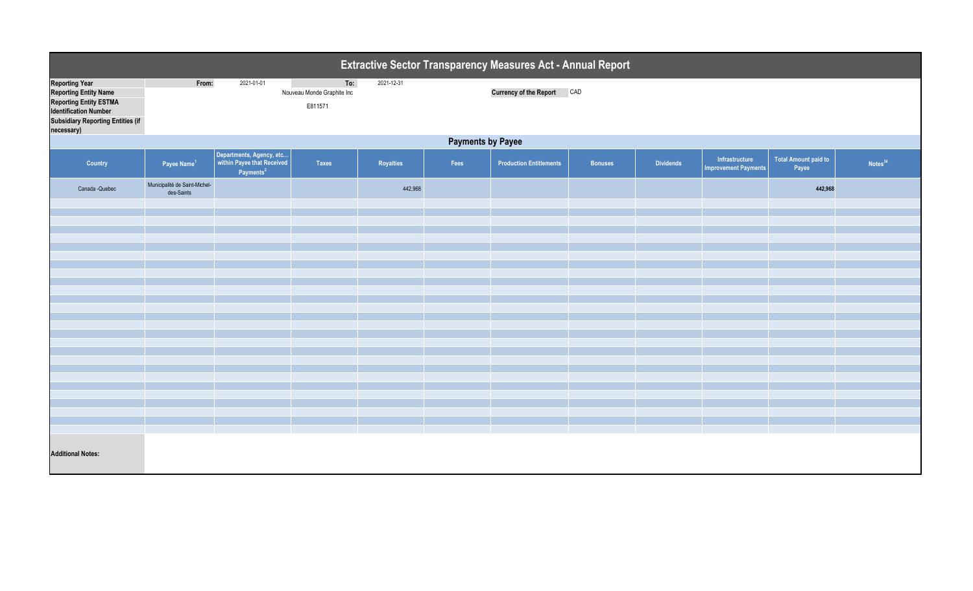| Extractive Sector Transparency Measures Act - Annual Report                                                                                                               |                                             |                                                                                 |                                              |            |      |                                   |                |                  |                                               |                               |                     |  |
|---------------------------------------------------------------------------------------------------------------------------------------------------------------------------|---------------------------------------------|---------------------------------------------------------------------------------|----------------------------------------------|------------|------|-----------------------------------|----------------|------------------|-----------------------------------------------|-------------------------------|---------------------|--|
| Reporting Year<br><b>Reporting Entity Name</b><br><b>Reporting Entity ESTMA</b><br><b>Identification Number</b><br><b>Subsidiary Reporting Entities (if</b><br>necessary) | From:                                       | 2021-01-01                                                                      | To:<br>Nouveau Monde Graphite Inc<br>E811571 | 2021-12-31 |      | <b>Currency of the Report CAD</b> |                |                  |                                               |                               |                     |  |
|                                                                                                                                                                           | <b>Payments by Payee</b>                    |                                                                                 |                                              |            |      |                                   |                |                  |                                               |                               |                     |  |
| Country                                                                                                                                                                   | Payee Name <sup>1</sup>                     | Departments, Agency, etc<br>within Payee that Received<br>Payments <sup>2</sup> | <b>Taxes</b>                                 | Royalties  | Fees | <b>Production Entitlements</b>    | <b>Bonuses</b> | <b>Dividends</b> | Infrastructure<br><b>Improvement Payments</b> | Total Amount paid to<br>Payee | Notes <sup>34</sup> |  |
| Canada - Quebec                                                                                                                                                           | Municipalité de Saint-Michel-<br>des-Saints |                                                                                 |                                              | 442,968    |      |                                   |                |                  |                                               | 442,968                       |                     |  |
|                                                                                                                                                                           |                                             |                                                                                 |                                              |            |      |                                   |                |                  |                                               |                               |                     |  |
|                                                                                                                                                                           |                                             |                                                                                 |                                              |            |      |                                   |                |                  |                                               |                               |                     |  |
|                                                                                                                                                                           |                                             |                                                                                 |                                              |            |      |                                   |                |                  |                                               |                               |                     |  |
|                                                                                                                                                                           |                                             |                                                                                 |                                              |            |      |                                   |                |                  |                                               |                               |                     |  |
|                                                                                                                                                                           |                                             |                                                                                 |                                              |            |      |                                   |                |                  |                                               |                               |                     |  |
|                                                                                                                                                                           |                                             |                                                                                 |                                              |            |      |                                   |                |                  |                                               |                               |                     |  |
|                                                                                                                                                                           |                                             |                                                                                 |                                              |            |      |                                   |                |                  |                                               |                               |                     |  |
|                                                                                                                                                                           |                                             |                                                                                 |                                              |            |      |                                   |                |                  |                                               |                               |                     |  |
|                                                                                                                                                                           |                                             |                                                                                 |                                              |            |      |                                   |                |                  |                                               |                               |                     |  |
|                                                                                                                                                                           |                                             |                                                                                 |                                              |            |      |                                   |                |                  |                                               |                               |                     |  |
|                                                                                                                                                                           |                                             |                                                                                 |                                              |            |      |                                   |                |                  |                                               |                               |                     |  |
|                                                                                                                                                                           |                                             |                                                                                 |                                              |            |      |                                   |                |                  |                                               |                               |                     |  |
|                                                                                                                                                                           |                                             |                                                                                 |                                              |            |      |                                   |                |                  |                                               |                               |                     |  |
|                                                                                                                                                                           |                                             |                                                                                 |                                              |            |      |                                   |                |                  |                                               |                               |                     |  |
|                                                                                                                                                                           |                                             |                                                                                 |                                              |            |      |                                   |                |                  |                                               |                               |                     |  |
|                                                                                                                                                                           |                                             |                                                                                 |                                              |            |      |                                   |                |                  |                                               |                               |                     |  |
|                                                                                                                                                                           |                                             |                                                                                 |                                              |            |      |                                   |                |                  |                                               |                               |                     |  |
| <b>Additional Notes:</b>                                                                                                                                                  |                                             |                                                                                 |                                              |            |      |                                   |                |                  |                                               |                               |                     |  |